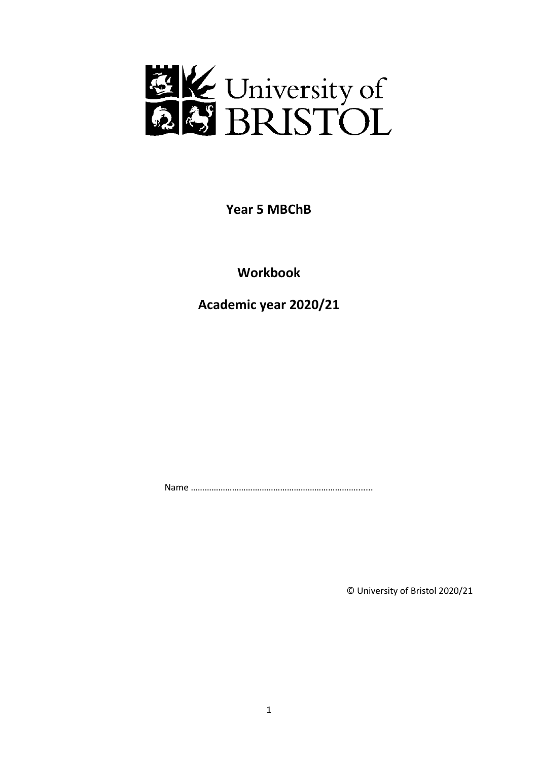

**Year 5 MBChB**

**Workbook**

**Academic year 2020/21**

Name ……………………………………………………………….......

© University of Bristol 2020/21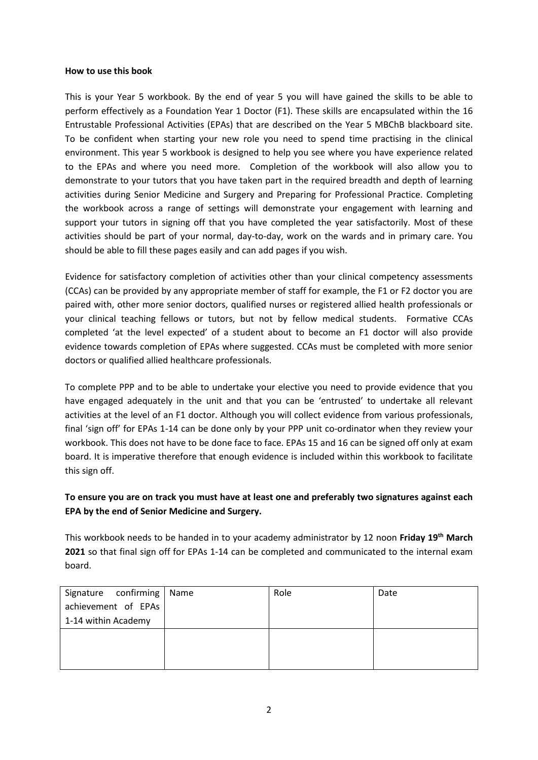#### **How to use this book**

This is your Year 5 workbook. By the end of year 5 you will have gained the skills to be able to perform effectively as a Foundation Year 1 Doctor (F1). These skills are encapsulated within the 16 Entrustable Professional Activities (EPAs) that are described on the Year 5 MBChB blackboard site. To be confident when starting your new role you need to spend time practising in the clinical environment. This year 5 workbook is designed to help you see where you have experience related to the EPAs and where you need more. Completion of the workbook will also allow you to demonstrate to your tutors that you have taken part in the required breadth and depth of learning activities during Senior Medicine and Surgery and Preparing for Professional Practice. Completing the workbook across a range of settings will demonstrate your engagement with learning and support your tutors in signing off that you have completed the year satisfactorily. Most of these activities should be part of your normal, day-to-day, work on the wards and in primary care. You should be able to fill these pages easily and can add pages if you wish.

Evidence for satisfactory completion of activities other than your clinical competency assessments (CCAs) can be provided by any appropriate member of staff for example, the F1 or F2 doctor you are paired with, other more senior doctors, qualified nurses or registered allied health professionals or your clinical teaching fellows or tutors, but not by fellow medical students. Formative CCAs completed 'at the level expected' of a student about to become an F1 doctor will also provide evidence towards completion of EPAs where suggested. CCAs must be completed with more senior doctors or qualified allied healthcare professionals.

To complete PPP and to be able to undertake your elective you need to provide evidence that you have engaged adequately in the unit and that you can be 'entrusted' to undertake all relevant activities at the level of an F1 doctor. Although you will collect evidence from various professionals, final 'sign off' for EPAs 1-14 can be done only by your PPP unit co-ordinator when they review your workbook. This does not have to be done face to face. EPAs 15 and 16 can be signed off only at exam board. It is imperative therefore that enough evidence is included within this workbook to facilitate this sign off.

## **To ensure you are on track you must have at least one and preferably two signatures against each EPA by the end of Senior Medicine and Surgery.**

This workbook needs to be handed in to your academy administrator by 12 noon **Friday 19th March 2021** so that final sign off for EPAs 1-14 can be completed and communicated to the internal exam board.

| Signature confirming   Name | Role | Date |
|-----------------------------|------|------|
| achievement of EPAs         |      |      |
| 1-14 within Academy         |      |      |
|                             |      |      |
|                             |      |      |
|                             |      |      |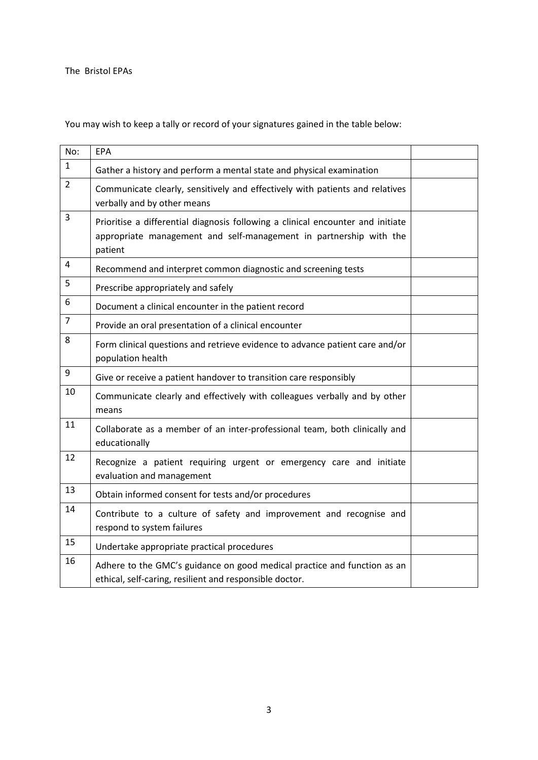The Bristol EPAs

You may wish to keep a tally or record of your signatures gained in the table below:

| No:            | EPA                                                                                                                                                              |  |
|----------------|------------------------------------------------------------------------------------------------------------------------------------------------------------------|--|
| $\mathbf{1}$   | Gather a history and perform a mental state and physical examination                                                                                             |  |
| $\overline{2}$ | Communicate clearly, sensitively and effectively with patients and relatives<br>verbally and by other means                                                      |  |
| 3              | Prioritise a differential diagnosis following a clinical encounter and initiate<br>appropriate management and self-management in partnership with the<br>patient |  |
| 4              | Recommend and interpret common diagnostic and screening tests                                                                                                    |  |
| 5              | Prescribe appropriately and safely                                                                                                                               |  |
| 6              | Document a clinical encounter in the patient record                                                                                                              |  |
| $\overline{7}$ | Provide an oral presentation of a clinical encounter                                                                                                             |  |
| 8              | Form clinical questions and retrieve evidence to advance patient care and/or<br>population health                                                                |  |
| 9              | Give or receive a patient handover to transition care responsibly                                                                                                |  |
| 10             | Communicate clearly and effectively with colleagues verbally and by other<br>means                                                                               |  |
| 11             | Collaborate as a member of an inter-professional team, both clinically and<br>educationally                                                                      |  |
| 12             | Recognize a patient requiring urgent or emergency care and initiate<br>evaluation and management                                                                 |  |
| 13             | Obtain informed consent for tests and/or procedures                                                                                                              |  |
| 14             | Contribute to a culture of safety and improvement and recognise and<br>respond to system failures                                                                |  |
| 15             | Undertake appropriate practical procedures                                                                                                                       |  |
| 16             | Adhere to the GMC's guidance on good medical practice and function as an<br>ethical, self-caring, resilient and responsible doctor.                              |  |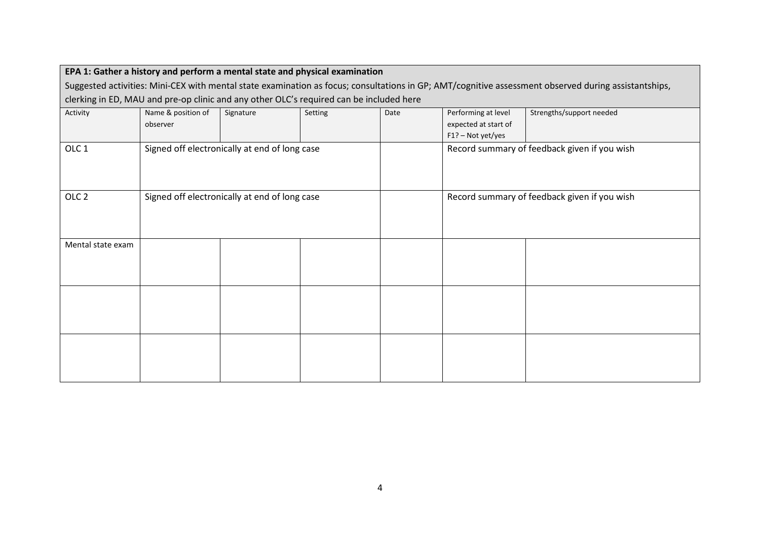|                                                                                         | EPA 1: Gather a history and perform a mental state and physical examination |                                               |         |      |                                                                  |                                                                                                                                                      |  |  |  |  |  |
|-----------------------------------------------------------------------------------------|-----------------------------------------------------------------------------|-----------------------------------------------|---------|------|------------------------------------------------------------------|------------------------------------------------------------------------------------------------------------------------------------------------------|--|--|--|--|--|
|                                                                                         |                                                                             |                                               |         |      |                                                                  | Suggested activities: Mini-CEX with mental state examination as focus; consultations in GP; AMT/cognitive assessment observed during assistantships, |  |  |  |  |  |
| clerking in ED, MAU and pre-op clinic and any other OLC's required can be included here |                                                                             |                                               |         |      |                                                                  |                                                                                                                                                      |  |  |  |  |  |
| Activity                                                                                | Name & position of<br>observer                                              | Signature                                     | Setting | Date | Performing at level<br>expected at start of<br>F1? - Not yet/yes | Strengths/support needed                                                                                                                             |  |  |  |  |  |
| OLC <sub>1</sub>                                                                        |                                                                             | Signed off electronically at end of long case |         |      |                                                                  | Record summary of feedback given if you wish                                                                                                         |  |  |  |  |  |
| OLC <sub>2</sub>                                                                        | Signed off electronically at end of long case                               |                                               |         |      | Record summary of feedback given if you wish                     |                                                                                                                                                      |  |  |  |  |  |
| Mental state exam                                                                       |                                                                             |                                               |         |      |                                                                  |                                                                                                                                                      |  |  |  |  |  |
|                                                                                         |                                                                             |                                               |         |      |                                                                  |                                                                                                                                                      |  |  |  |  |  |
|                                                                                         |                                                                             |                                               |         |      |                                                                  |                                                                                                                                                      |  |  |  |  |  |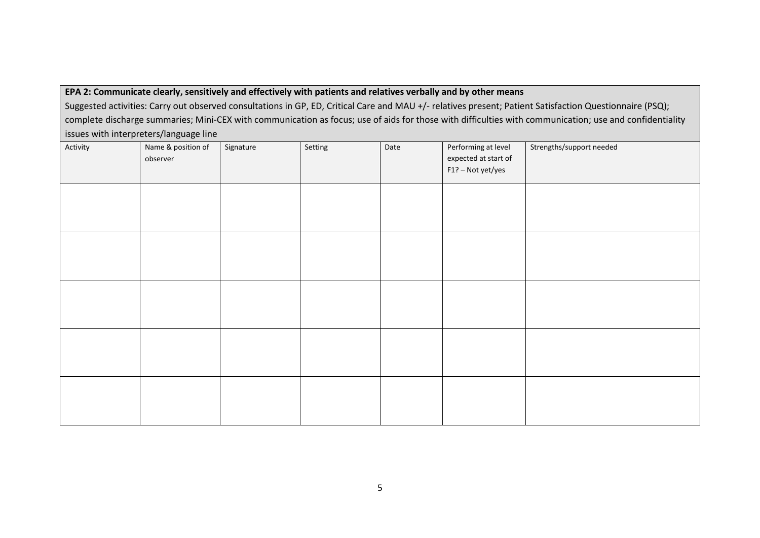| EPA 2: Communicate clearly, sensitively and effectively with patients and relatives verbally and by other means                                          |                                |           |         |      |                                                                  |                          |  |  |  |  |
|----------------------------------------------------------------------------------------------------------------------------------------------------------|--------------------------------|-----------|---------|------|------------------------------------------------------------------|--------------------------|--|--|--|--|
| Suggested activities: Carry out observed consultations in GP, ED, Critical Care and MAU +/- relatives present; Patient Satisfaction Questionnaire (PSQ); |                                |           |         |      |                                                                  |                          |  |  |  |  |
| complete discharge summaries; Mini-CEX with communication as focus; use of aids for those with difficulties with communication; use and confidentiality  |                                |           |         |      |                                                                  |                          |  |  |  |  |
| issues with interpreters/language line                                                                                                                   |                                |           |         |      |                                                                  |                          |  |  |  |  |
| Activity                                                                                                                                                 | Name & position of<br>observer | Signature | Setting | Date | Performing at level<br>expected at start of<br>F1? - Not yet/yes | Strengths/support needed |  |  |  |  |
|                                                                                                                                                          |                                |           |         |      |                                                                  |                          |  |  |  |  |
|                                                                                                                                                          |                                |           |         |      |                                                                  |                          |  |  |  |  |
|                                                                                                                                                          |                                |           |         |      |                                                                  |                          |  |  |  |  |
|                                                                                                                                                          |                                |           |         |      |                                                                  |                          |  |  |  |  |
|                                                                                                                                                          |                                |           |         |      |                                                                  |                          |  |  |  |  |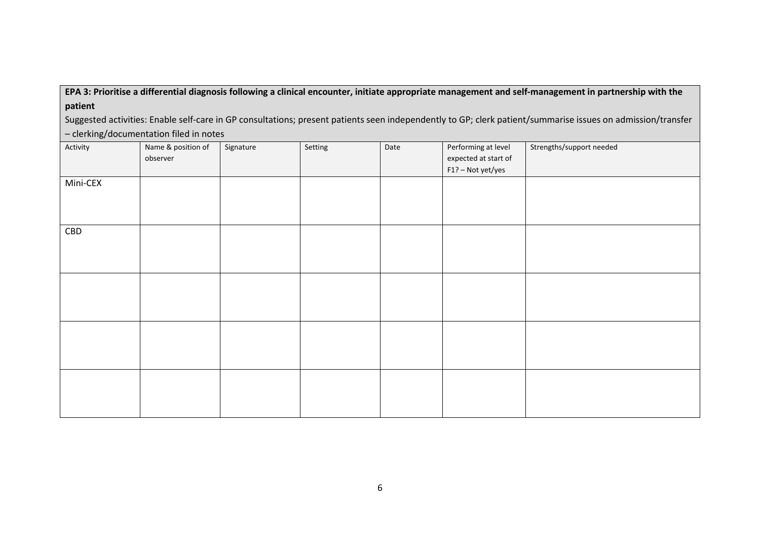| EPA 3: Prioritise a differential diagnosis following a clinical encounter, initiate appropriate management and self-management in partnership with the |
|--------------------------------------------------------------------------------------------------------------------------------------------------------|
| patient                                                                                                                                                |

Suggested activities: Enable self-care in GP consultations; present patients seen independently to GP; clerk patient/summarise issues on admission/transfer – clerking/documentation filed in notes

| Activity | Name & position of | Signature | Setting | Date | Performing at level  | Strengths/support needed |
|----------|--------------------|-----------|---------|------|----------------------|--------------------------|
|          | observer           |           |         |      | expected at start of |                          |
|          |                    |           |         |      | F1? - Not yet/yes    |                          |
| Mini-CEX |                    |           |         |      |                      |                          |
|          |                    |           |         |      |                      |                          |
|          |                    |           |         |      |                      |                          |
|          |                    |           |         |      |                      |                          |
| CBD      |                    |           |         |      |                      |                          |
|          |                    |           |         |      |                      |                          |
|          |                    |           |         |      |                      |                          |
|          |                    |           |         |      |                      |                          |
|          |                    |           |         |      |                      |                          |
|          |                    |           |         |      |                      |                          |
|          |                    |           |         |      |                      |                          |
|          |                    |           |         |      |                      |                          |
|          |                    |           |         |      |                      |                          |
|          |                    |           |         |      |                      |                          |
|          |                    |           |         |      |                      |                          |
|          |                    |           |         |      |                      |                          |
|          |                    |           |         |      |                      |                          |
|          |                    |           |         |      |                      |                          |
|          |                    |           |         |      |                      |                          |
|          |                    |           |         |      |                      |                          |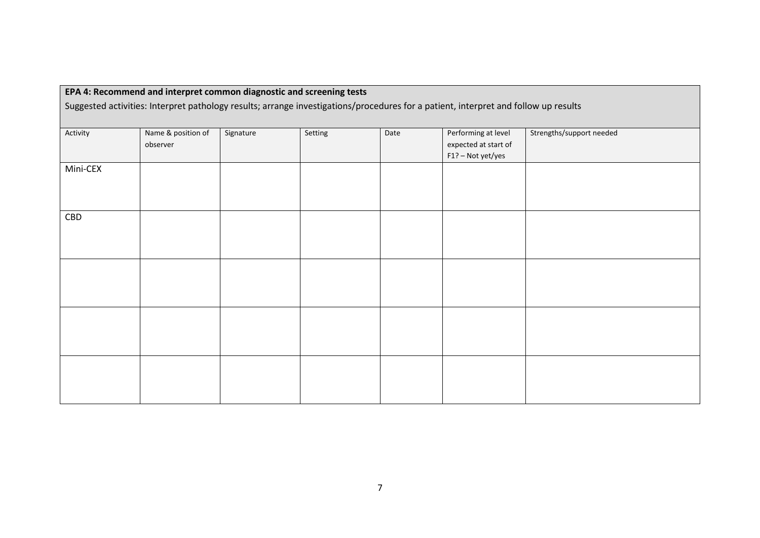| Activity | Name & position of<br>observer | Signature | Setting | Date | Performing at level<br>expected at start of<br>F1? - Not yet/yes | Strengths/support needed |
|----------|--------------------------------|-----------|---------|------|------------------------------------------------------------------|--------------------------|
| Mini-CEX |                                |           |         |      |                                                                  |                          |
| CBD      |                                |           |         |      |                                                                  |                          |
|          |                                |           |         |      |                                                                  |                          |
|          |                                |           |         |      |                                                                  |                          |
|          |                                |           |         |      |                                                                  |                          |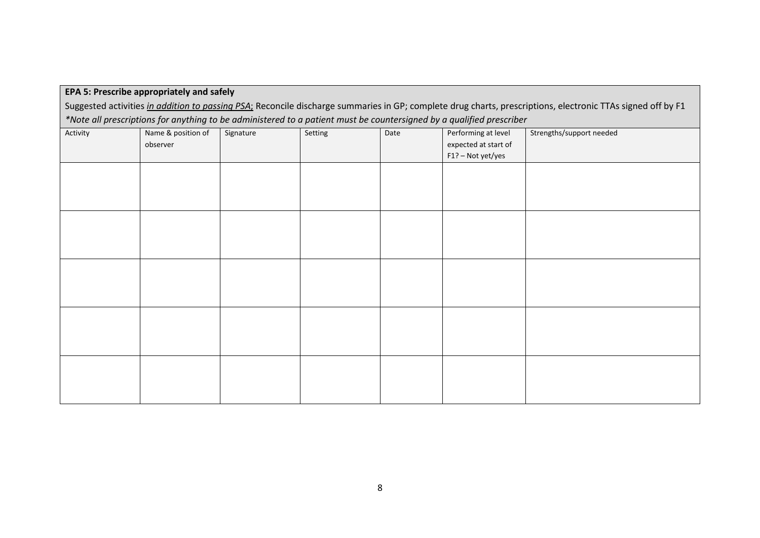| EPA 5: Prescribe appropriately and safely                                                                                                                   |                                |           |         |      |                                                                  |                          |  |  |  |  |
|-------------------------------------------------------------------------------------------------------------------------------------------------------------|--------------------------------|-----------|---------|------|------------------------------------------------------------------|--------------------------|--|--|--|--|
| Suggested activities in addition to passing PSA; Reconcile discharge summaries in GP; complete drug charts, prescriptions, electronic TTAs signed off by F1 |                                |           |         |      |                                                                  |                          |  |  |  |  |
| *Note all prescriptions for anything to be administered to a patient must be countersigned by a qualified prescriber                                        |                                |           |         |      |                                                                  |                          |  |  |  |  |
| Activity                                                                                                                                                    | Name & position of<br>observer | Signature | Setting | Date | Performing at level<br>expected at start of<br>F1? - Not yet/yes | Strengths/support needed |  |  |  |  |
|                                                                                                                                                             |                                |           |         |      |                                                                  |                          |  |  |  |  |
|                                                                                                                                                             |                                |           |         |      |                                                                  |                          |  |  |  |  |
|                                                                                                                                                             |                                |           |         |      |                                                                  |                          |  |  |  |  |
|                                                                                                                                                             |                                |           |         |      |                                                                  |                          |  |  |  |  |
|                                                                                                                                                             |                                |           |         |      |                                                                  |                          |  |  |  |  |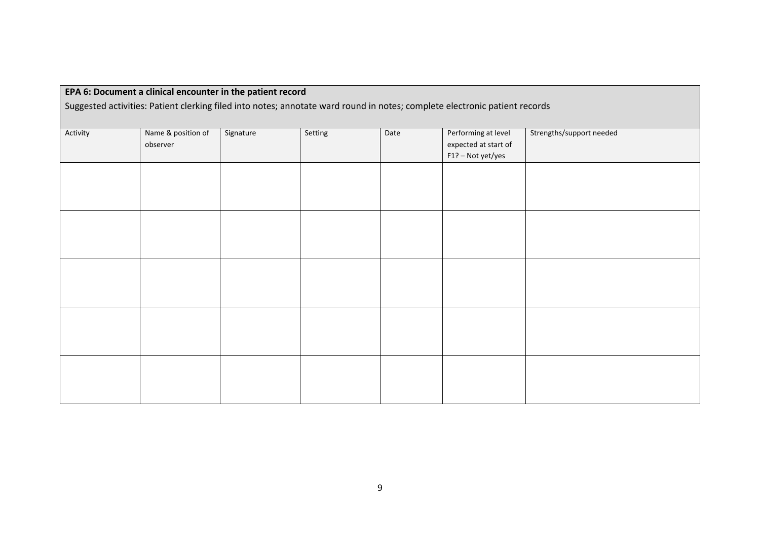| EPA 6: Document a clinical encounter in the patient record<br>Suggested activities: Patient clerking filed into notes; annotate ward round in notes; complete electronic patient records |                                |           |         |      |                                                                  |                          |  |  |  |
|------------------------------------------------------------------------------------------------------------------------------------------------------------------------------------------|--------------------------------|-----------|---------|------|------------------------------------------------------------------|--------------------------|--|--|--|
| Activity                                                                                                                                                                                 | Name & position of<br>observer | Signature | Setting | Date | Performing at level<br>expected at start of<br>F1? - Not yet/yes | Strengths/support needed |  |  |  |
|                                                                                                                                                                                          |                                |           |         |      |                                                                  |                          |  |  |  |
|                                                                                                                                                                                          |                                |           |         |      |                                                                  |                          |  |  |  |
|                                                                                                                                                                                          |                                |           |         |      |                                                                  |                          |  |  |  |
|                                                                                                                                                                                          |                                |           |         |      |                                                                  |                          |  |  |  |
|                                                                                                                                                                                          |                                |           |         |      |                                                                  |                          |  |  |  |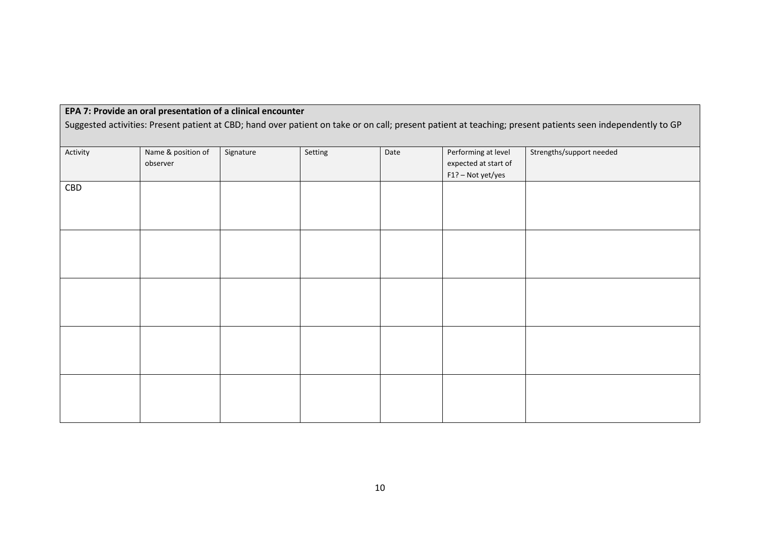| EPA 7: Provide an oral presentation of a clinical encounter<br>Suggested activities: Present patient at CBD; hand over patient on take or on call; present patient at teaching; present patients seen independently to GP |                                |           |         |      |                                                                  |                          |  |  |  |
|---------------------------------------------------------------------------------------------------------------------------------------------------------------------------------------------------------------------------|--------------------------------|-----------|---------|------|------------------------------------------------------------------|--------------------------|--|--|--|
| Activity                                                                                                                                                                                                                  | Name & position of<br>observer | Signature | Setting | Date | Performing at level<br>expected at start of<br>F1? - Not yet/yes | Strengths/support needed |  |  |  |
| CBD                                                                                                                                                                                                                       |                                |           |         |      |                                                                  |                          |  |  |  |
|                                                                                                                                                                                                                           |                                |           |         |      |                                                                  |                          |  |  |  |
|                                                                                                                                                                                                                           |                                |           |         |      |                                                                  |                          |  |  |  |
|                                                                                                                                                                                                                           |                                |           |         |      |                                                                  |                          |  |  |  |
|                                                                                                                                                                                                                           |                                |           |         |      |                                                                  |                          |  |  |  |
|                                                                                                                                                                                                                           |                                |           |         |      |                                                                  |                          |  |  |  |

## **EPA 7: Provide an oral presentation of a clinical encounter**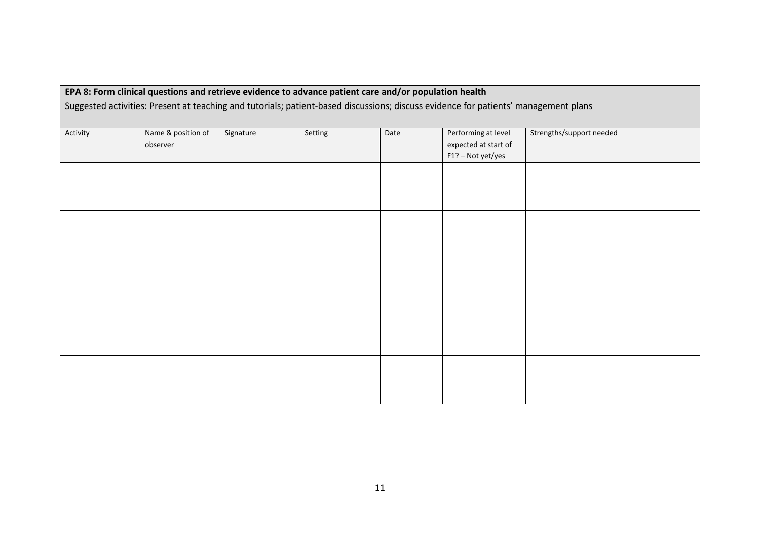| Activity | Name & position of<br>observer | Signature | Setting | Date | Performing at level<br>expected at start of<br>F1? - Not yet/yes | Strengths/support needed |
|----------|--------------------------------|-----------|---------|------|------------------------------------------------------------------|--------------------------|
|          |                                |           |         |      |                                                                  |                          |
|          |                                |           |         |      |                                                                  |                          |
|          |                                |           |         |      |                                                                  |                          |
|          |                                |           |         |      |                                                                  |                          |
|          |                                |           |         |      |                                                                  |                          |
|          |                                |           |         |      |                                                                  |                          |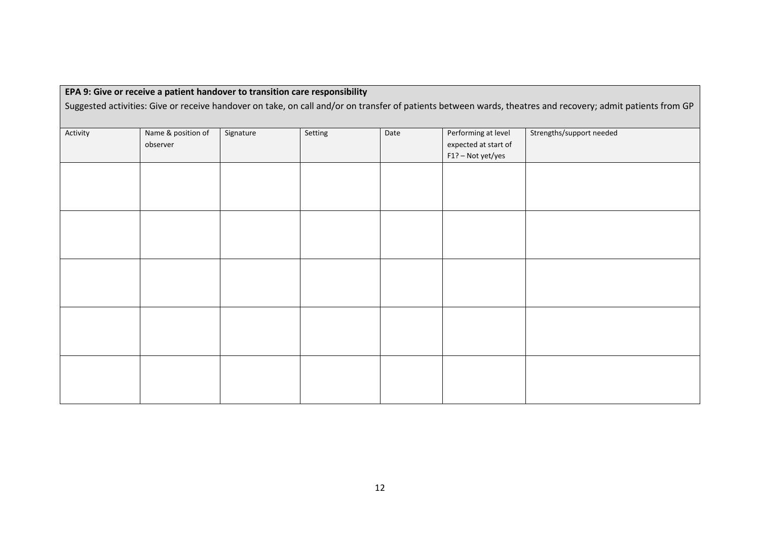# **EPA 9: Give or receive a patient handover to transition care responsibility**

Suggested activities: Give or receive handover on take, on call and/or on transfer of patients between wards, theatres and recovery; admit patients from GP

| Activity | Name & position of | Signature | Setting | Date | Performing at level  | Strengths/support needed |
|----------|--------------------|-----------|---------|------|----------------------|--------------------------|
|          | observer           |           |         |      | expected at start of |                          |
|          |                    |           |         |      | F1? - Not yet/yes    |                          |
|          |                    |           |         |      |                      |                          |
|          |                    |           |         |      |                      |                          |
|          |                    |           |         |      |                      |                          |
|          |                    |           |         |      |                      |                          |
|          |                    |           |         |      |                      |                          |
|          |                    |           |         |      |                      |                          |
|          |                    |           |         |      |                      |                          |
|          |                    |           |         |      |                      |                          |
|          |                    |           |         |      |                      |                          |
|          |                    |           |         |      |                      |                          |
|          |                    |           |         |      |                      |                          |
|          |                    |           |         |      |                      |                          |
|          |                    |           |         |      |                      |                          |
|          |                    |           |         |      |                      |                          |
|          |                    |           |         |      |                      |                          |
|          |                    |           |         |      |                      |                          |
|          |                    |           |         |      |                      |                          |
|          |                    |           |         |      |                      |                          |
|          |                    |           |         |      |                      |                          |
|          |                    |           |         |      |                      |                          |
|          |                    |           |         |      |                      |                          |
|          |                    |           |         |      |                      |                          |
|          |                    |           |         |      |                      |                          |
|          |                    |           |         |      |                      |                          |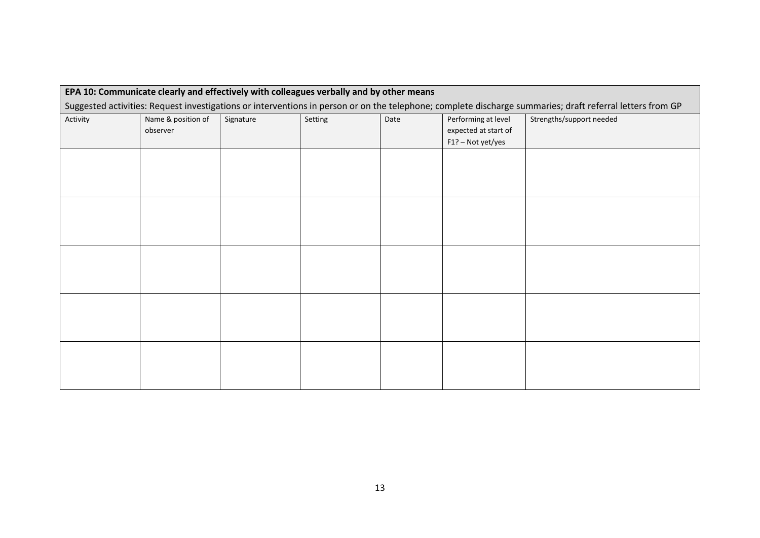| EPA 10: Communicate clearly and effectively with colleagues verbally and by other means                                                                   |                    |           |         |      |                      |                          |  |  |  |
|-----------------------------------------------------------------------------------------------------------------------------------------------------------|--------------------|-----------|---------|------|----------------------|--------------------------|--|--|--|
| Suggested activities: Request investigations or interventions in person or on the telephone; complete discharge summaries; draft referral letters from GP |                    |           |         |      |                      |                          |  |  |  |
| Activity                                                                                                                                                  | Name & position of | Signature | Setting | Date | Performing at level  | Strengths/support needed |  |  |  |
|                                                                                                                                                           | observer           |           |         |      | expected at start of |                          |  |  |  |
|                                                                                                                                                           |                    |           |         |      | F1? - Not yet/yes    |                          |  |  |  |
|                                                                                                                                                           |                    |           |         |      |                      |                          |  |  |  |
|                                                                                                                                                           |                    |           |         |      |                      |                          |  |  |  |
|                                                                                                                                                           |                    |           |         |      |                      |                          |  |  |  |
|                                                                                                                                                           |                    |           |         |      |                      |                          |  |  |  |
|                                                                                                                                                           |                    |           |         |      |                      |                          |  |  |  |
|                                                                                                                                                           |                    |           |         |      |                      |                          |  |  |  |
|                                                                                                                                                           |                    |           |         |      |                      |                          |  |  |  |
|                                                                                                                                                           |                    |           |         |      |                      |                          |  |  |  |
|                                                                                                                                                           |                    |           |         |      |                      |                          |  |  |  |
|                                                                                                                                                           |                    |           |         |      |                      |                          |  |  |  |
|                                                                                                                                                           |                    |           |         |      |                      |                          |  |  |  |
|                                                                                                                                                           |                    |           |         |      |                      |                          |  |  |  |
|                                                                                                                                                           |                    |           |         |      |                      |                          |  |  |  |
|                                                                                                                                                           |                    |           |         |      |                      |                          |  |  |  |
|                                                                                                                                                           |                    |           |         |      |                      |                          |  |  |  |
|                                                                                                                                                           |                    |           |         |      |                      |                          |  |  |  |
|                                                                                                                                                           |                    |           |         |      |                      |                          |  |  |  |
|                                                                                                                                                           |                    |           |         |      |                      |                          |  |  |  |
|                                                                                                                                                           |                    |           |         |      |                      |                          |  |  |  |
|                                                                                                                                                           |                    |           |         |      |                      |                          |  |  |  |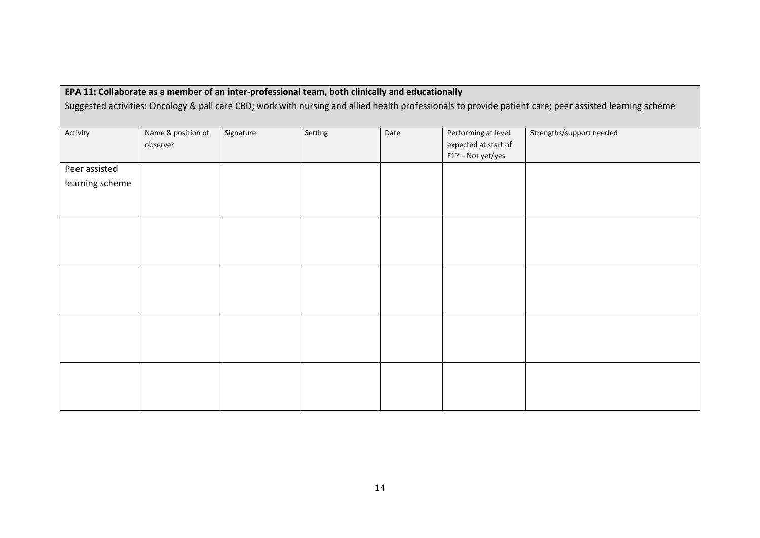| Activity        | Name & position of<br>observer | Signature | Setting | Date | Performing at level<br>expected at start of<br>F1? - Not yet/yes | Strengths/support needed |
|-----------------|--------------------------------|-----------|---------|------|------------------------------------------------------------------|--------------------------|
| Peer assisted   |                                |           |         |      |                                                                  |                          |
| learning scheme |                                |           |         |      |                                                                  |                          |
|                 |                                |           |         |      |                                                                  |                          |
|                 |                                |           |         |      |                                                                  |                          |
|                 |                                |           |         |      |                                                                  |                          |
|                 |                                |           |         |      |                                                                  |                          |
|                 |                                |           |         |      |                                                                  |                          |
|                 |                                |           |         |      |                                                                  |                          |
|                 |                                |           |         |      |                                                                  |                          |
|                 |                                |           |         |      |                                                                  |                          |
|                 |                                |           |         |      |                                                                  |                          |
|                 |                                |           |         |      |                                                                  |                          |
|                 |                                |           |         |      |                                                                  |                          |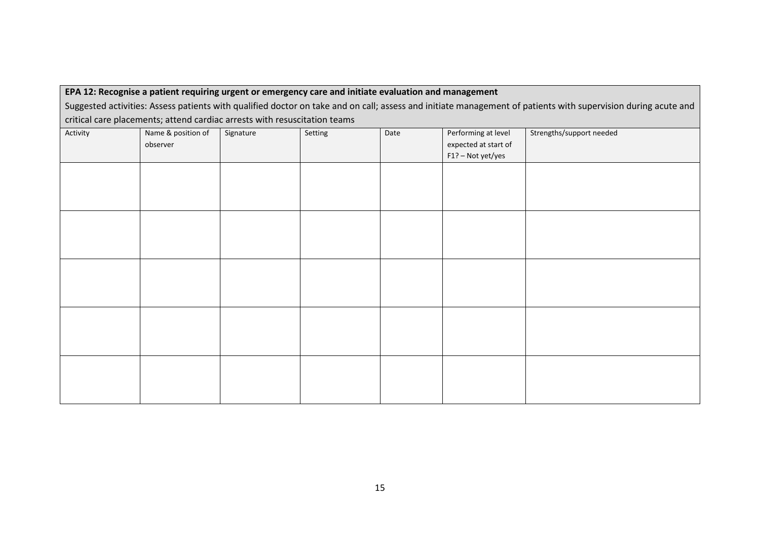## **EPA 12: Recognise a patient requiring urgent or emergency care and initiate evaluation and management**

Suggested activities: Assess patients with qualified doctor on take and on call; assess and initiate management of patients with supervision during acute and critical care placements; attend cardiac arrests with resuscitation teams

| $\sim$<br>Activity | Name & position of | Signature | Setting | Date | Performing at level  | Strengths/support needed |
|--------------------|--------------------|-----------|---------|------|----------------------|--------------------------|
|                    | observer           |           |         |      | expected at start of |                          |
|                    |                    |           |         |      | F1? - Not yet/yes    |                          |
|                    |                    |           |         |      |                      |                          |
|                    |                    |           |         |      |                      |                          |
|                    |                    |           |         |      |                      |                          |
|                    |                    |           |         |      |                      |                          |
|                    |                    |           |         |      |                      |                          |
|                    |                    |           |         |      |                      |                          |
|                    |                    |           |         |      |                      |                          |
|                    |                    |           |         |      |                      |                          |
|                    |                    |           |         |      |                      |                          |
|                    |                    |           |         |      |                      |                          |
|                    |                    |           |         |      |                      |                          |
|                    |                    |           |         |      |                      |                          |
|                    |                    |           |         |      |                      |                          |
|                    |                    |           |         |      |                      |                          |
|                    |                    |           |         |      |                      |                          |
|                    |                    |           |         |      |                      |                          |
|                    |                    |           |         |      |                      |                          |
|                    |                    |           |         |      |                      |                          |
|                    |                    |           |         |      |                      |                          |
|                    |                    |           |         |      |                      |                          |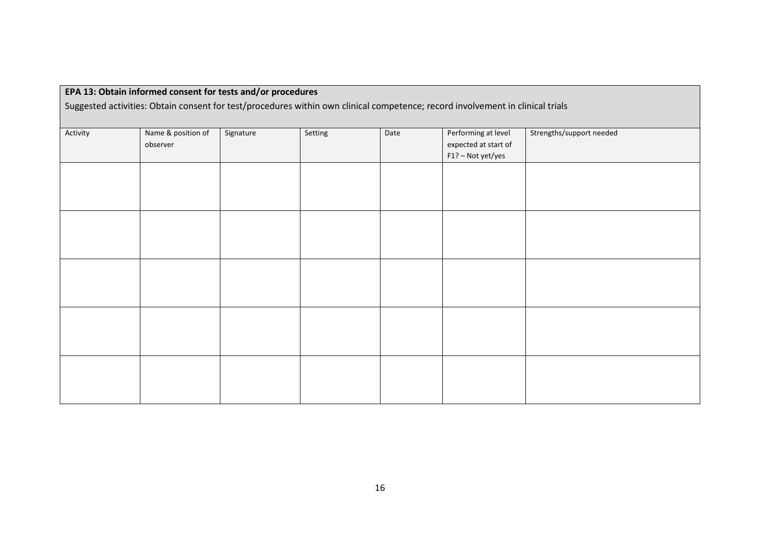| EPA 13: Obtain informed consent for tests and/or procedures |  |
|-------------------------------------------------------------|--|
|-------------------------------------------------------------|--|

Suggested activities: Obtain consent for test/procedures within own clinical competence; record involvement in clinical trials

| Activity | Name & position of<br>observer | Signature | Setting | Date | Performing at level<br>expected at start of<br>F1? - Not yet/yes | Strengths/support needed |
|----------|--------------------------------|-----------|---------|------|------------------------------------------------------------------|--------------------------|
|          |                                |           |         |      |                                                                  |                          |
|          |                                |           |         |      |                                                                  |                          |
|          |                                |           |         |      |                                                                  |                          |
|          |                                |           |         |      |                                                                  |                          |
|          |                                |           |         |      |                                                                  |                          |
|          |                                |           |         |      |                                                                  |                          |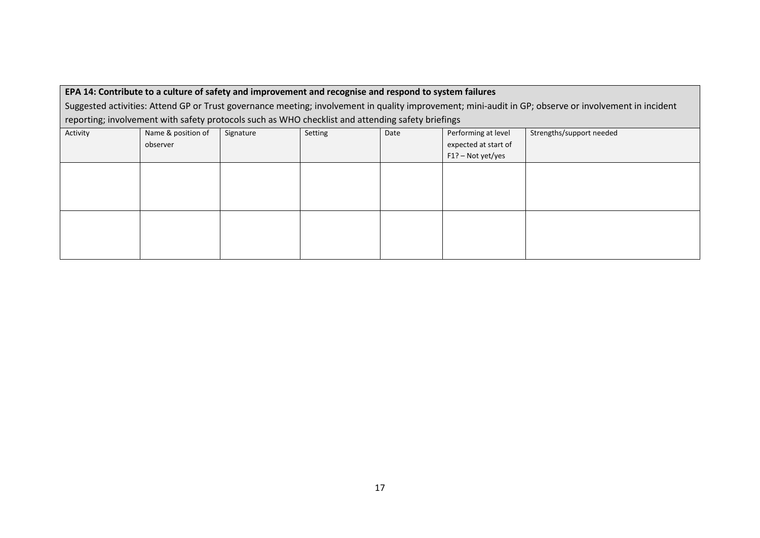## **EPA 14: Contribute to a culture of safety and improvement and recognise and respond to system failures**

Suggested activities: Attend GP or Trust governance meeting; involvement in quality improvement; mini-audit in GP; observe or involvement in incident reporting; involvement with safety protocols such as WHO checklist and attending safety briefings

| Activity | Name & position of | Signature | Setting | Date | Performing at level  | Strengths/support needed |
|----------|--------------------|-----------|---------|------|----------------------|--------------------------|
|          | observer           |           |         |      | expected at start of |                          |
|          |                    |           |         |      | F1? - Not yet/yes    |                          |
|          |                    |           |         |      |                      |                          |
|          |                    |           |         |      |                      |                          |
|          |                    |           |         |      |                      |                          |
|          |                    |           |         |      |                      |                          |
|          |                    |           |         |      |                      |                          |
|          |                    |           |         |      |                      |                          |
|          |                    |           |         |      |                      |                          |
|          |                    |           |         |      |                      |                          |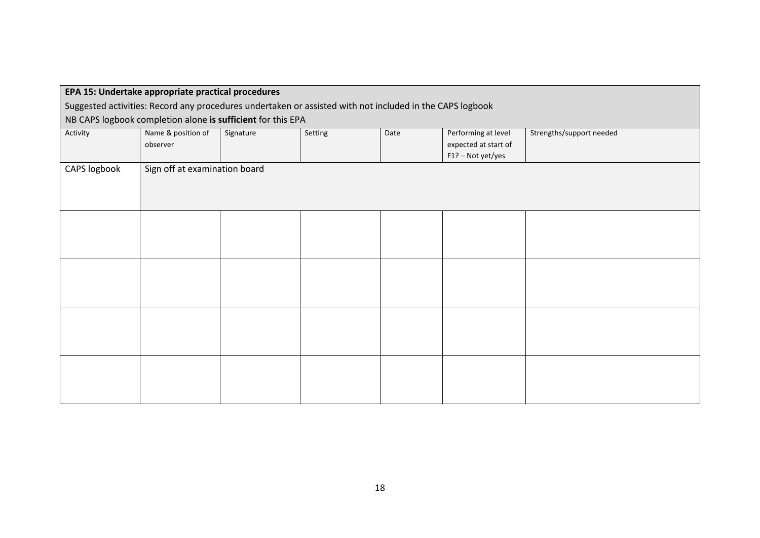| EPA 15: Undertake appropriate practical procedures                                                       |                                |           |         |      |                                                                  |                          |  |  |  |
|----------------------------------------------------------------------------------------------------------|--------------------------------|-----------|---------|------|------------------------------------------------------------------|--------------------------|--|--|--|
| Suggested activities: Record any procedures undertaken or assisted with not included in the CAPS logbook |                                |           |         |      |                                                                  |                          |  |  |  |
| NB CAPS logbook completion alone is sufficient for this EPA                                              |                                |           |         |      |                                                                  |                          |  |  |  |
| Activity                                                                                                 | Name & position of<br>observer | Signature | Setting | Date | Performing at level<br>expected at start of<br>F1? - Not yet/yes | Strengths/support needed |  |  |  |
| CAPS logbook                                                                                             | Sign off at examination board  |           |         |      |                                                                  |                          |  |  |  |
|                                                                                                          |                                |           |         |      |                                                                  |                          |  |  |  |
|                                                                                                          |                                |           |         |      |                                                                  |                          |  |  |  |
|                                                                                                          |                                |           |         |      |                                                                  |                          |  |  |  |
|                                                                                                          |                                |           |         |      |                                                                  |                          |  |  |  |
|                                                                                                          |                                |           |         |      |                                                                  |                          |  |  |  |
|                                                                                                          |                                |           |         |      |                                                                  |                          |  |  |  |
|                                                                                                          |                                |           |         |      |                                                                  |                          |  |  |  |
|                                                                                                          |                                |           |         |      |                                                                  |                          |  |  |  |
|                                                                                                          |                                |           |         |      |                                                                  |                          |  |  |  |
|                                                                                                          |                                |           |         |      |                                                                  |                          |  |  |  |
|                                                                                                          |                                |           |         |      |                                                                  |                          |  |  |  |
|                                                                                                          |                                |           |         |      |                                                                  |                          |  |  |  |
|                                                                                                          |                                |           |         |      |                                                                  |                          |  |  |  |
|                                                                                                          |                                |           |         |      |                                                                  |                          |  |  |  |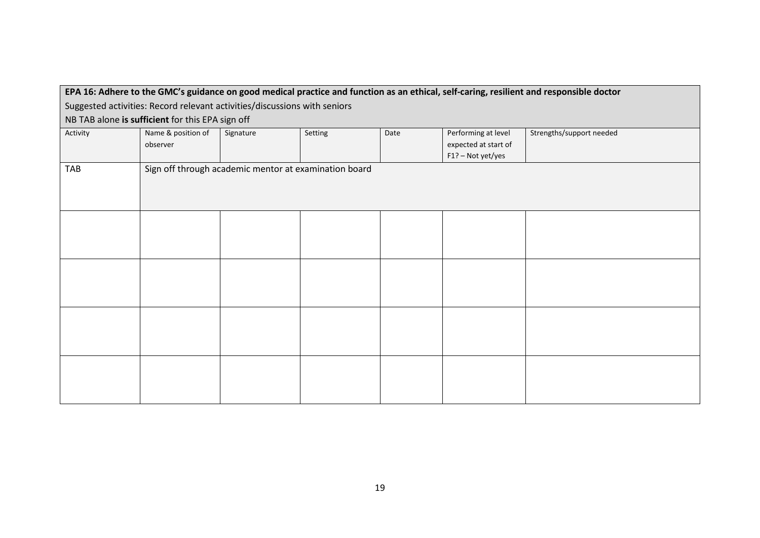| EPA 16: Adhere to the GMC's guidance on good medical practice and function as an ethical, self-caring, resilient and responsible doctor |                    |                                                       |         |      |                      |                          |  |  |  |
|-----------------------------------------------------------------------------------------------------------------------------------------|--------------------|-------------------------------------------------------|---------|------|----------------------|--------------------------|--|--|--|
| Suggested activities: Record relevant activities/discussions with seniors                                                               |                    |                                                       |         |      |                      |                          |  |  |  |
| NB TAB alone is sufficient for this EPA sign off                                                                                        |                    |                                                       |         |      |                      |                          |  |  |  |
| Activity                                                                                                                                | Name & position of | Signature                                             | Setting | Date | Performing at level  | Strengths/support needed |  |  |  |
|                                                                                                                                         | observer           |                                                       |         |      | expected at start of |                          |  |  |  |
|                                                                                                                                         |                    |                                                       |         |      | F1? - Not yet/yes    |                          |  |  |  |
| <b>TAB</b>                                                                                                                              |                    | Sign off through academic mentor at examination board |         |      |                      |                          |  |  |  |
|                                                                                                                                         |                    |                                                       |         |      |                      |                          |  |  |  |
|                                                                                                                                         |                    |                                                       |         |      |                      |                          |  |  |  |
|                                                                                                                                         |                    |                                                       |         |      |                      |                          |  |  |  |
|                                                                                                                                         |                    |                                                       |         |      |                      |                          |  |  |  |
|                                                                                                                                         |                    |                                                       |         |      |                      |                          |  |  |  |
|                                                                                                                                         |                    |                                                       |         |      |                      |                          |  |  |  |
|                                                                                                                                         |                    |                                                       |         |      |                      |                          |  |  |  |
|                                                                                                                                         |                    |                                                       |         |      |                      |                          |  |  |  |
|                                                                                                                                         |                    |                                                       |         |      |                      |                          |  |  |  |
|                                                                                                                                         |                    |                                                       |         |      |                      |                          |  |  |  |
|                                                                                                                                         |                    |                                                       |         |      |                      |                          |  |  |  |
|                                                                                                                                         |                    |                                                       |         |      |                      |                          |  |  |  |
|                                                                                                                                         |                    |                                                       |         |      |                      |                          |  |  |  |
|                                                                                                                                         |                    |                                                       |         |      |                      |                          |  |  |  |
|                                                                                                                                         |                    |                                                       |         |      |                      |                          |  |  |  |
|                                                                                                                                         |                    |                                                       |         |      |                      |                          |  |  |  |
|                                                                                                                                         |                    |                                                       |         |      |                      |                          |  |  |  |
|                                                                                                                                         |                    |                                                       |         |      |                      |                          |  |  |  |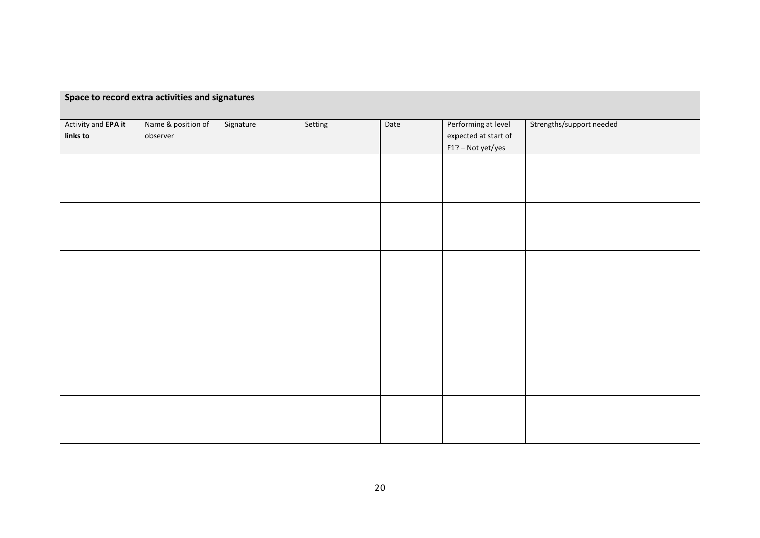| Space to record extra activities and signatures |                                |           |         |      |                                                                  |                          |  |  |  |
|-------------------------------------------------|--------------------------------|-----------|---------|------|------------------------------------------------------------------|--------------------------|--|--|--|
| Activity and EPA it<br>links to                 | Name & position of<br>observer | Signature | Setting | Date | Performing at level<br>expected at start of<br>F1? - Not yet/yes | Strengths/support needed |  |  |  |
|                                                 |                                |           |         |      |                                                                  |                          |  |  |  |
|                                                 |                                |           |         |      |                                                                  |                          |  |  |  |
|                                                 |                                |           |         |      |                                                                  |                          |  |  |  |
|                                                 |                                |           |         |      |                                                                  |                          |  |  |  |
|                                                 |                                |           |         |      |                                                                  |                          |  |  |  |
|                                                 |                                |           |         |      |                                                                  |                          |  |  |  |
|                                                 |                                |           |         |      |                                                                  |                          |  |  |  |
|                                                 |                                |           |         |      |                                                                  |                          |  |  |  |
|                                                 |                                |           |         |      |                                                                  |                          |  |  |  |
|                                                 |                                |           |         |      |                                                                  |                          |  |  |  |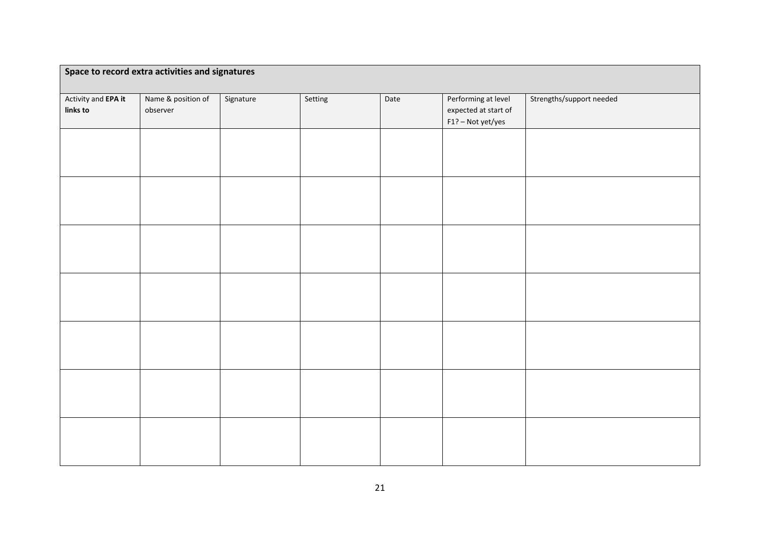| Space to record extra activities and signatures |                                |           |         |      |                                                                  |                          |  |  |  |
|-------------------------------------------------|--------------------------------|-----------|---------|------|------------------------------------------------------------------|--------------------------|--|--|--|
| Activity and EPA it<br>links to                 | Name & position of<br>observer | Signature | Setting | Date | Performing at level<br>expected at start of<br>F1? - Not yet/yes | Strengths/support needed |  |  |  |
|                                                 |                                |           |         |      |                                                                  |                          |  |  |  |
|                                                 |                                |           |         |      |                                                                  |                          |  |  |  |
|                                                 |                                |           |         |      |                                                                  |                          |  |  |  |
|                                                 |                                |           |         |      |                                                                  |                          |  |  |  |
|                                                 |                                |           |         |      |                                                                  |                          |  |  |  |
|                                                 |                                |           |         |      |                                                                  |                          |  |  |  |
|                                                 |                                |           |         |      |                                                                  |                          |  |  |  |